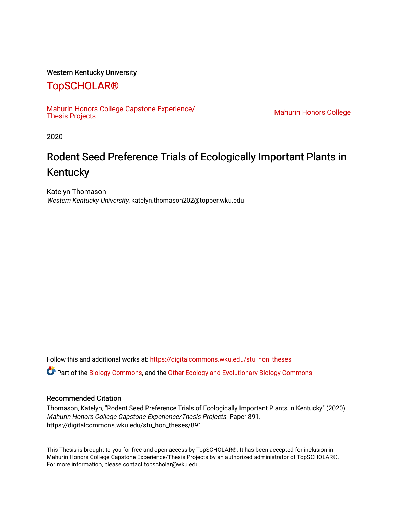## Western Kentucky University

# [TopSCHOLAR®](https://digitalcommons.wku.edu/)

[Mahurin Honors College Capstone Experience/](https://digitalcommons.wku.edu/stu_hon_theses)

**Mahurin Honors College** 

2020

# Rodent Seed Preference Trials of Ecologically Important Plants in Kentucky

Katelyn Thomason Western Kentucky University, katelyn.thomason202@topper.wku.edu

Follow this and additional works at: [https://digitalcommons.wku.edu/stu\\_hon\\_theses](https://digitalcommons.wku.edu/stu_hon_theses?utm_source=digitalcommons.wku.edu%2Fstu_hon_theses%2F891&utm_medium=PDF&utm_campaign=PDFCoverPages) 

Part of the [Biology Commons,](http://network.bepress.com/hgg/discipline/41?utm_source=digitalcommons.wku.edu%2Fstu_hon_theses%2F891&utm_medium=PDF&utm_campaign=PDFCoverPages) and the [Other Ecology and Evolutionary Biology Commons](http://network.bepress.com/hgg/discipline/21?utm_source=digitalcommons.wku.edu%2Fstu_hon_theses%2F891&utm_medium=PDF&utm_campaign=PDFCoverPages)

#### Recommended Citation

Thomason, Katelyn, "Rodent Seed Preference Trials of Ecologically Important Plants in Kentucky" (2020). Mahurin Honors College Capstone Experience/Thesis Projects. Paper 891. https://digitalcommons.wku.edu/stu\_hon\_theses/891

This Thesis is brought to you for free and open access by TopSCHOLAR®. It has been accepted for inclusion in Mahurin Honors College Capstone Experience/Thesis Projects by an authorized administrator of TopSCHOLAR®. For more information, please contact topscholar@wku.edu.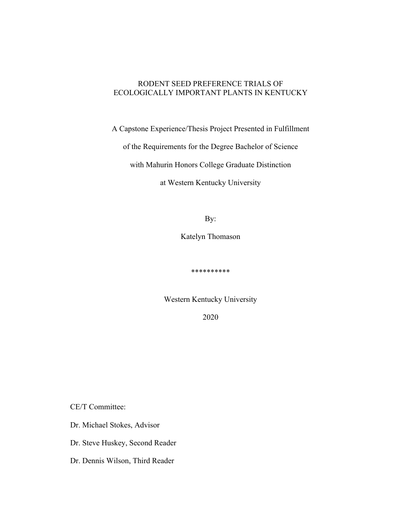## RODENT SEED PREFERENCE TRIALS OF ECOLOGICALLY IMPORTANT PLANTS IN KENTUCKY

A Capstone Experience/Thesis Project Presented in Fulfillment

of the Requirements for the Degree Bachelor of Science

with Mahurin Honors College Graduate Distinction

at Western Kentucky University

By:

Katelyn Thomason

\*\*\*\*\*\*\*\*\*\*

Western Kentucky University

2020

CE/T Committee:

Dr. Michael Stokes, Advisor

Dr. Steve Huskey, Second Reader

Dr. Dennis Wilson, Third Reader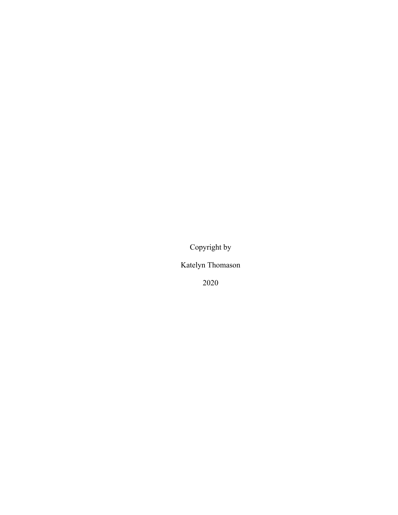Copyright by

Katelyn Thomason

2020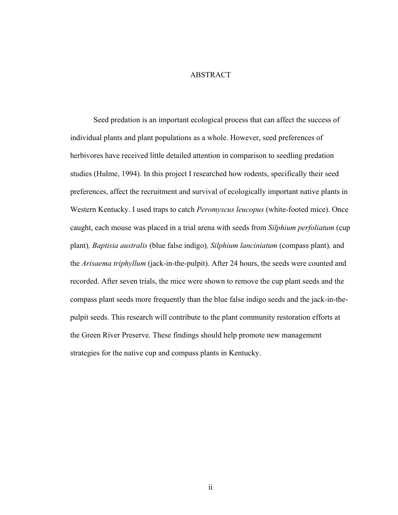## ABSTRACT

Seed predation is an important ecological process that can affect the success of individual plants and plant populations as a whole. However, seed preferences of herbivores have received little detailed attention in comparison to seedling predation studies (Hulme, 1994). In this project I researched how rodents, specifically their seed preferences, affect the recruitment and survival of ecologically important native plants in Western Kentucky. I used traps to catch *Peromyscus leucopus* (white-footed mice). Once caught, each mouse was placed in a trial arena with seeds from *Silphium perfoliatum* (cup plant)*, Baptisia australis* (blue false indigo)*, Silphium lanciniatum* (compass plant)*,* and the *Arisaema triphyllum* (jack-in-the-pulpit). After 24 hours, the seeds were counted and recorded. After seven trials, the mice were shown to remove the cup plant seeds and the compass plant seeds more frequently than the blue false indigo seeds and the jack-in-thepulpit seeds. This research will contribute to the plant community restoration efforts at the Green River Preserve. These findings should help promote new management strategies for the native cup and compass plants in Kentucky.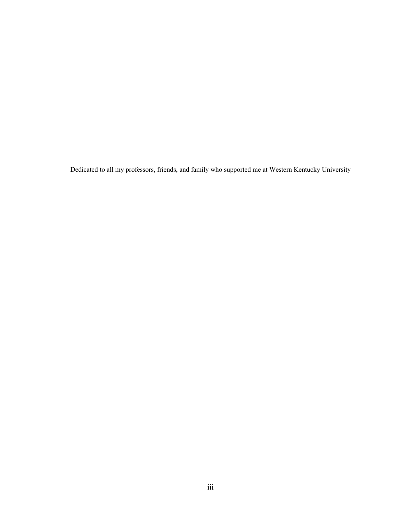Dedicated to all my professors, friends, and family who supported me at Western Kentucky University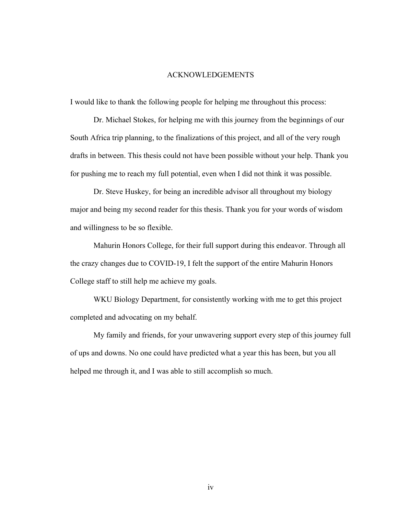#### ACKNOWLEDGEMENTS

I would like to thank the following people for helping me throughout this process:

Dr. Michael Stokes, for helping me with this journey from the beginnings of our South Africa trip planning, to the finalizations of this project, and all of the very rough drafts in between. This thesis could not have been possible without your help. Thank you for pushing me to reach my full potential, even when I did not think it was possible.

Dr. Steve Huskey, for being an incredible advisor all throughout my biology major and being my second reader for this thesis. Thank you for your words of wisdom and willingness to be so flexible.

Mahurin Honors College, for their full support during this endeavor. Through all the crazy changes due to COVID-19, I felt the support of the entire Mahurin Honors College staff to still help me achieve my goals.

WKU Biology Department, for consistently working with me to get this project completed and advocating on my behalf.

My family and friends, for your unwavering support every step of this journey full of ups and downs. No one could have predicted what a year this has been, but you all helped me through it, and I was able to still accomplish so much.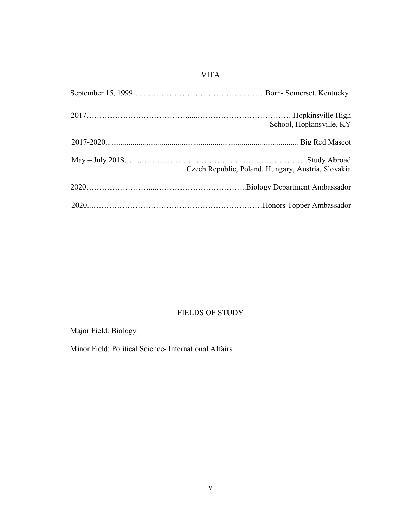## VITA

| School, Hopkinsville, KY                           |
|----------------------------------------------------|
|                                                    |
| Czech Republic, Poland, Hungary, Austria, Slovakia |
|                                                    |
|                                                    |

## FIELDS OF STUDY

Major Field: Biology

Minor Field: Political Science- International Affairs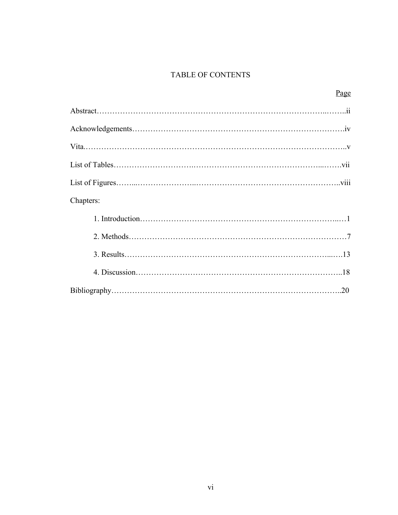## TABLE OF CONTENTS

| Chapters: |
|-----------|
|           |
|           |
|           |
|           |
|           |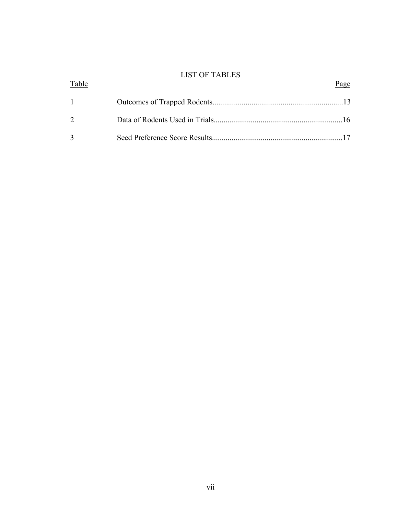## LIST OF TABLES

| Table             | Page |
|-------------------|------|
| $1 \qquad \qquad$ |      |
| $\mathcal{D}$     |      |
|                   |      |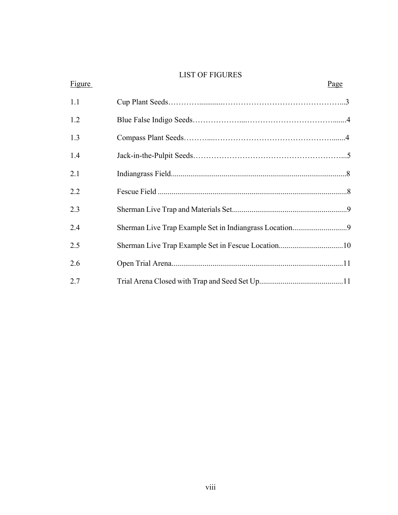## LIST OF FIGURES

| Figure |                                                    | Page |
|--------|----------------------------------------------------|------|
| 1.1    |                                                    |      |
| 1.2    |                                                    |      |
| 1.3    |                                                    |      |
| 1.4    |                                                    |      |
| 2.1    |                                                    |      |
| 2.2    |                                                    |      |
| 2.3    |                                                    |      |
| 2.4    |                                                    |      |
| 2.5    | Sherman Live Trap Example Set in Fescue Location10 |      |
| 2.6    |                                                    |      |
| 2.7    |                                                    |      |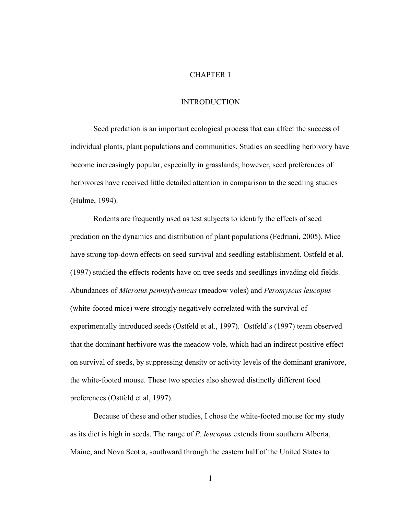## CHAPTER 1

#### INTRODUCTION

Seed predation is an important ecological process that can affect the success of individual plants, plant populations and communities. Studies on seedling herbivory have become increasingly popular, especially in grasslands; however, seed preferences of herbivores have received little detailed attention in comparison to the seedling studies (Hulme, 1994).

Rodents are frequently used as test subjects to identify the effects of seed predation on the dynamics and distribution of plant populations (Fedriani, 2005). Mice have strong top-down effects on seed survival and seedling establishment. Ostfeld et al. (1997) studied the effects rodents have on tree seeds and seedlings invading old fields. Abundances of *Microtus pennsylvanicus* (meadow voles) and *Peromyscus leucopus*  (white-footed mice) were strongly negatively correlated with the survival of experimentally introduced seeds (Ostfeld et al., 1997). Ostfeld's (1997) team observed that the dominant herbivore was the meadow vole, which had an indirect positive effect on survival of seeds, by suppressing density or activity levels of the dominant granivore, the white-footed mouse. These two species also showed distinctly different food preferences (Ostfeld et al, 1997).

Because of these and other studies, I chose the white-footed mouse for my study as its diet is high in seeds. The range of *P. leucopus* extends from southern Alberta, Maine, and Nova Scotia, southward through the eastern half of the United States to

1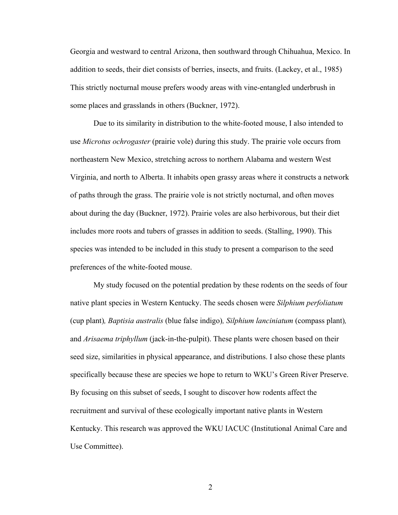Georgia and westward to central Arizona, then southward through Chihuahua, Mexico. In addition to seeds, their diet consists of berries, insects, and fruits. (Lackey, et al., 1985) This strictly nocturnal mouse prefers woody areas with vine-entangled underbrush in some places and grasslands in others (Buckner, 1972).

Due to its similarity in distribution to the white-footed mouse, I also intended to use *Microtus ochrogaster* (prairie vole) during this study. The prairie vole occurs from northeastern New Mexico, stretching across to northern Alabama and western West Virginia, and north to Alberta. It inhabits open grassy areas where it constructs a network of paths through the grass. The prairie vole is not strictly nocturnal, and often moves about during the day (Buckner, 1972). Prairie voles are also herbivorous, but their diet includes more roots and tubers of grasses in addition to seeds. (Stalling, 1990). This species was intended to be included in this study to present a comparison to the seed preferences of the white-footed mouse.

My study focused on the potential predation by these rodents on the seeds of four native plant species in Western Kentucky. The seeds chosen were *Silphium perfoliatum*  (cup plant)*, Baptisia australis* (blue false indigo)*, Silphium lanciniatum* (compass plant)*,*  and *Arisaema triphyllum* (jack-in-the-pulpit). These plants were chosen based on their seed size, similarities in physical appearance, and distributions. I also chose these plants specifically because these are species we hope to return to WKU's Green River Preserve. By focusing on this subset of seeds, I sought to discover how rodents affect the recruitment and survival of these ecologically important native plants in Western Kentucky. This research was approved the WKU IACUC (Institutional Animal Care and Use Committee).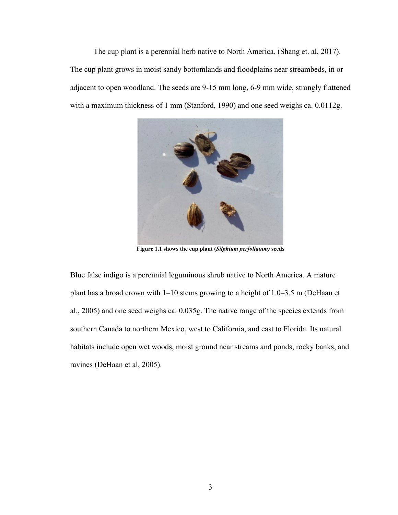The cup plant is a perennial herb native to North America. (Shang et. al, 2017). The cup plant grows in moist sandy bottomlands and floodplains near streambeds, in or adjacent to open woodland. The seeds are 9-15 mm long, 6-9 mm wide, strongly flattened with a maximum thickness of 1 mm (Stanford, 1990) and one seed weighs ca. 0.0112g.



**Figure 1.1 shows the cup plant (***Silphium perfoliatum)* **seeds** 

Blue false indigo is a perennial leguminous shrub native to North America. A mature plant has a broad crown with 1–10 stems growing to a height of 1.0–3.5 m (DeHaan et al., 2005) and one seed weighs ca. 0.035g. The native range of the species extends from southern Canada to northern Mexico, west to California, and east to Florida. Its natural habitats include open wet woods, moist ground near streams and ponds, rocky banks, and ravines (DeHaan et al, 2005).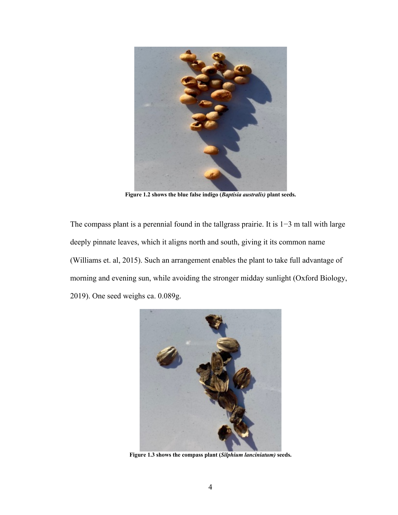

**Figure 1.2 shows the blue false indigo (***Baptisia australis)* **plant seeds.**

The compass plant is a perennial found in the tallgrass prairie. It is 1−3 m tall with large deeply pinnate leaves, which it aligns north and south, giving it its common name (Williams et. al, 2015). Such an arrangement enables the plant to take full advantage of morning and evening sun, while avoiding the stronger midday sunlight (Oxford Biology, 2019). One seed weighs ca. 0.089g.



**Figure 1.3 shows the compass plant (***Silphium lanciniatum)* **seeds.**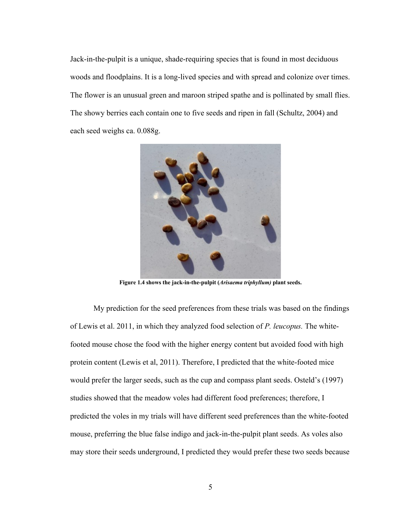Jack-in-the-pulpit is a unique, shade-requiring species that is found in most deciduous woods and floodplains. It is a long-lived species and with spread and colonize over times. The flower is an unusual green and maroon striped spathe and is pollinated by small flies. The showy berries each contain one to five seeds and ripen in fall (Schultz, 2004) and each seed weighs ca. 0.088g.



**Figure 1.4 shows the jack-in-the-pulpit (***Arisaema triphyllum)* **plant seeds.**

My prediction for the seed preferences from these trials was based on the findings of Lewis et al. 2011, in which they analyzed food selection of *P. leucopus.* The whitefooted mouse chose the food with the higher energy content but avoided food with high protein content (Lewis et al, 2011). Therefore, I predicted that the white-footed mice would prefer the larger seeds, such as the cup and compass plant seeds. Osteld's (1997) studies showed that the meadow voles had different food preferences; therefore, I predicted the voles in my trials will have different seed preferences than the white-footed mouse, preferring the blue false indigo and jack-in-the-pulpit plant seeds. As voles also may store their seeds underground, I predicted they would prefer these two seeds because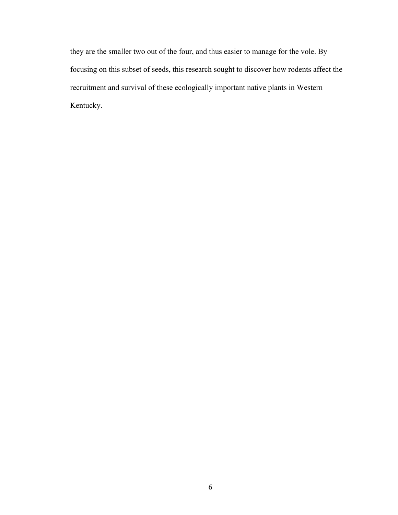they are the smaller two out of the four, and thus easier to manage for the vole. By focusing on this subset of seeds, this research sought to discover how rodents affect the recruitment and survival of these ecologically important native plants in Western Kentucky.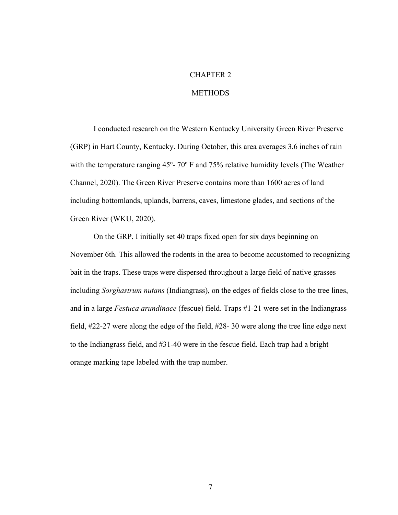## CHAPTER 2

#### **METHODS**

I conducted research on the Western Kentucky University Green River Preserve (GRP) in Hart County, Kentucky. During October, this area averages 3.6 inches of rain with the temperature ranging 45<sup>°</sup>- 70<sup>°</sup> F and 75% relative humidity levels (The Weather Channel, 2020). The Green River Preserve contains more than 1600 acres of land including bottomlands, uplands, barrens, caves, limestone glades, and sections of the Green River (WKU, 2020).

On the GRP, I initially set 40 traps fixed open for six days beginning on November 6th. This allowed the rodents in the area to become accustomed to recognizing bait in the traps. These traps were dispersed throughout a large field of native grasses including *Sorghastrum nutans* (Indiangrass), on the edges of fields close to the tree lines, and in a large *Festuca arundinace* (fescue) field. Traps #1-21 were set in the Indiangrass field, #22-27 were along the edge of the field, #28- 30 were along the tree line edge next to the Indiangrass field, and #31-40 were in the fescue field. Each trap had a bright orange marking tape labeled with the trap number.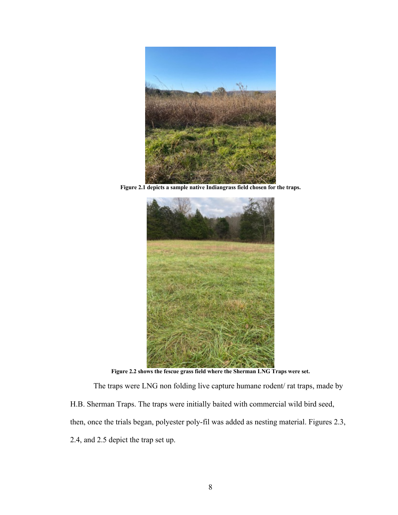

**Figure 2.1 depicts a sample native Indiangrass field chosen for the traps.** 



**Figure 2.2 shows the fescue grass field where the Sherman LNG Traps were set.** 

The traps were LNG non folding live capture humane rodent/ rat traps, made by H.B. Sherman Traps. The traps were initially baited with commercial wild bird seed, then, once the trials began, polyester poly-fil was added as nesting material. Figures 2.3, 2.4, and 2.5 depict the trap set up.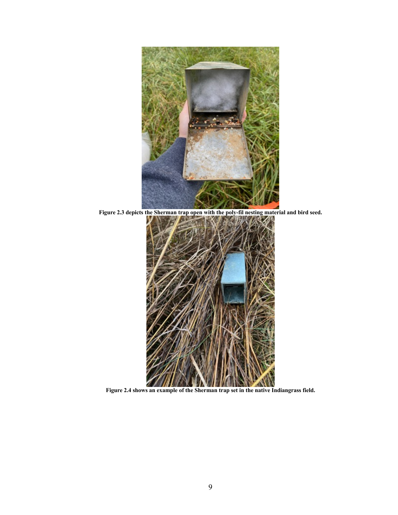

**Figure 2.3 depicts the Sherman trap open with the poly-fil nesting material and bird seed.**



**Figure 2.4 shows an example of the Sherman trap set in the native Indiangrass field.**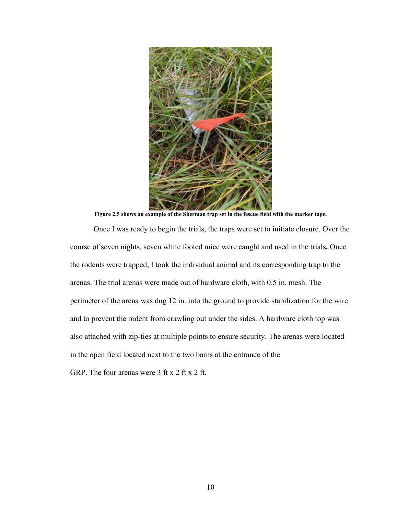

**Figure 2.5 shows an example of the Sherman trap set in the fescue field with the marker tape.** 

Once I was ready to begin the trials, the traps were set to initiate closure. Over the course of seven nights, seven white footed mice were caught and used in the trials**.** Once the rodents were trapped, I took the individual animal and its corresponding trap to the arenas. The trial arenas were made out of hardware cloth, with 0.5 in. mesh. The perimeter of the arena was dug 12 in. into the ground to provide stabilization for the wire and to prevent the rodent from crawling out under the sides. A hardware cloth top was also attached with zip-ties at multiple points to ensure security. The arenas were located in the open field located next to the two barns at the entrance of the

GRP. The four arenas were 3 ft x 2 ft x 2 ft.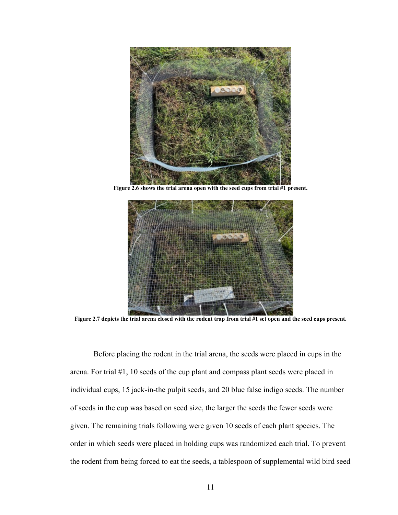

**Figure 2.6 shows the trial arena open with the seed cups from trial #1 present.** 



**Figure 2.7 depicts the trial arena closed with the rodent trap from trial #1 set open and the seed cups present.** 

Before placing the rodent in the trial arena, the seeds were placed in cups in the arena. For trial #1, 10 seeds of the cup plant and compass plant seeds were placed in individual cups, 15 jack-in-the pulpit seeds, and 20 blue false indigo seeds. The number of seeds in the cup was based on seed size, the larger the seeds the fewer seeds were given. The remaining trials following were given 10 seeds of each plant species. The order in which seeds were placed in holding cups was randomized each trial. To prevent the rodent from being forced to eat the seeds, a tablespoon of supplemental wild bird seed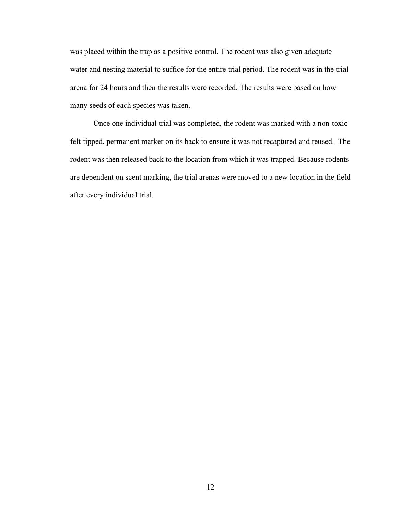was placed within the trap as a positive control. The rodent was also given adequate water and nesting material to suffice for the entire trial period. The rodent was in the trial arena for 24 hours and then the results were recorded. The results were based on how many seeds of each species was taken.

Once one individual trial was completed, the rodent was marked with a non-toxic felt-tipped, permanent marker on its back to ensure it was not recaptured and reused. The rodent was then released back to the location from which it was trapped. Because rodents are dependent on scent marking, the trial arenas were moved to a new location in the field after every individual trial.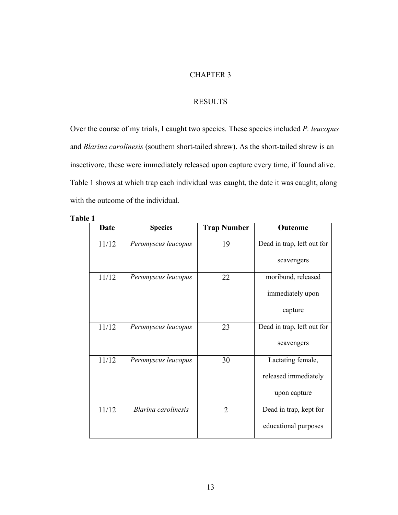## CHAPTER 3

## RESULTS

Over the course of my trials, I caught two species. These species included *P. leucopus* and *Blarina carolinesis* (southern short-tailed shrew). As the short-tailed shrew is an insectivore, these were immediately released upon capture every time, if found alive. Table 1 shows at which trap each individual was caught, the date it was caught, along with the outcome of the individual.

| .nı |  |
|-----|--|
|-----|--|

| Date  | <b>Species</b>      | <b>Trap Number</b> | Outcome                    |
|-------|---------------------|--------------------|----------------------------|
| 11/12 | Peromyscus leucopus | 19                 | Dead in trap, left out for |
|       |                     |                    | scavengers                 |
| 11/12 | Peromyscus leucopus | 22                 | moribund, released         |
|       |                     |                    | immediately upon           |
|       |                     |                    | capture                    |
| 11/12 | Peromyscus leucopus | 23                 | Dead in trap, left out for |
|       |                     |                    | scavengers                 |
| 11/12 | Peromyscus leucopus | 30                 | Lactating female,          |
|       |                     |                    | released immediately       |
|       |                     |                    | upon capture               |
| 11/12 | Blarina carolinesis | $\overline{2}$     | Dead in trap, kept for     |
|       |                     |                    | educational purposes       |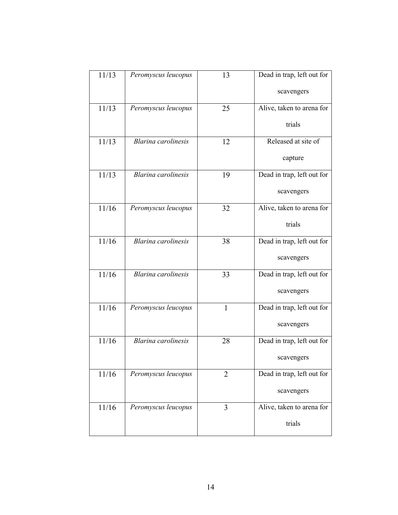| 11/13   | Peromyscus leucopus        | 13             | Dead in trap, left out for |  |
|---------|----------------------------|----------------|----------------------------|--|
|         |                            |                | scavengers                 |  |
| 11/13   | Peromyscus leucopus        | 25             | Alive, taken to arena for  |  |
|         |                            |                | trials                     |  |
| 11/13   | <b>Blarina</b> carolinesis | 12             | Released at site of        |  |
|         |                            |                | capture                    |  |
| 11/13   | <b>Blarina</b> carolinesis | 19             | Dead in trap, left out for |  |
|         |                            |                | scavengers                 |  |
| 11/16   | Peromyscus leucopus        | 32             | Alive, taken to arena for  |  |
|         |                            |                | trials                     |  |
| 11/16   | <b>Blarina</b> carolinesis | 38             | Dead in trap, left out for |  |
|         |                            |                | scavengers                 |  |
| 11/16   | <b>Blarina</b> carolinesis | 33             | Dead in trap, left out for |  |
|         |                            |                | scavengers                 |  |
| 11/16   | Peromyscus leucopus        | $\mathbf{1}$   | Dead in trap, left out for |  |
|         |                            |                | scavengers                 |  |
| 11/16   | <b>Blarina</b> carolinesis | 28             | Dead in trap, left out for |  |
|         |                            |                | scavengers                 |  |
| $11/16$ | Peromyscus leucopus        | $\overline{2}$ | Dead in trap, left out for |  |
|         |                            |                | scavengers                 |  |
| 11/16   | Peromyscus leucopus        | 3              | Alive, taken to arena for  |  |
|         |                            |                | trials                     |  |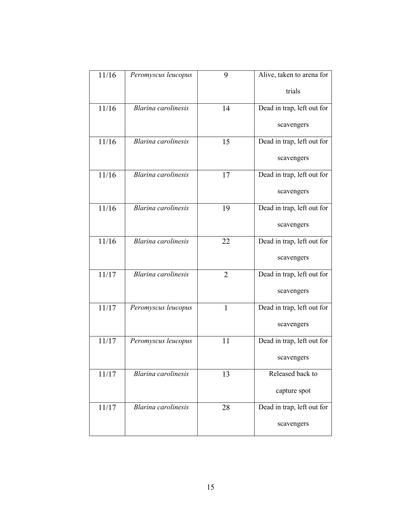| 11/16 | Peromyscus leucopus        | 9            | Alive, taken to arena for  |
|-------|----------------------------|--------------|----------------------------|
|       |                            |              | trials                     |
| 11/16 | <b>Blarina</b> carolinesis | 14           | Dead in trap, left out for |
|       |                            |              | scavengers                 |
| 11/16 | <b>Blarina</b> carolinesis | 15           | Dead in trap, left out for |
|       |                            |              | scavengers                 |
| 11/16 | <b>Blarina</b> carolinesis | 17           | Dead in trap, left out for |
|       |                            |              | scavengers                 |
| 11/16 | <b>Blarina</b> carolinesis | 19           | Dead in trap, left out for |
|       |                            |              | scavengers                 |
| 11/16 | <b>Blarina</b> carolinesis | 22           | Dead in trap, left out for |
|       |                            |              | scavengers                 |
| 11/17 | <b>Blarina</b> carolinesis | 2            | Dead in trap, left out for |
|       |                            |              | scavengers                 |
| 11/17 | Peromyscus leucopus        | $\mathbf{1}$ | Dead in trap, left out for |
|       |                            |              | scavengers                 |
| 11/17 | Peromyscus leucopus        | 11           | Dead in trap, left out for |
|       |                            |              | scavengers                 |
| 11/17 | Blarina carolinesis        | 13           | Released back to           |
|       |                            |              | capture spot               |
| 11/17 | Blarina carolinesis        | 28           | Dead in trap, left out for |
|       |                            |              | scavengers                 |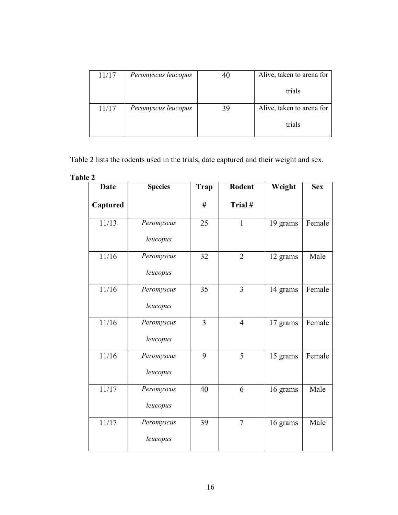| 11/17 | Peromyscus leucopus | 40 | Alive, taken to arena for |
|-------|---------------------|----|---------------------------|
|       |                     |    | trials                    |
| 11/17 | Peromyscus leucopus | 39 | Alive, taken to arena for |
|       |                     |    | trials                    |

Table 2 lists the rodents used in the trials, date captured and their weight and sex.

| able |  |
|------|--|
|------|--|

| <b>Date</b> | <b>Species</b> | <b>Trap</b>    | Rodent         | Weight   | <b>Sex</b> |
|-------------|----------------|----------------|----------------|----------|------------|
| Captured    |                | #              | Trial#         |          |            |
| 11/13       | Peromyscus     | 25             | 1              | 19 grams | Female     |
|             | leucopus       |                |                |          |            |
| 11/16       | Peromyscus     | 32             | $\overline{2}$ | 12 grams | Male       |
|             | leucopus       |                |                |          |            |
| 11/16       | Peromyscus     | 35             | $\overline{3}$ | 14 grams | Female     |
|             | leucopus       |                |                |          |            |
| 11/16       | Peromyscus     | $\overline{3}$ | $\overline{4}$ | 17 grams | Female     |
|             | leucopus       |                |                |          |            |
| 11/16       | Peromyscus     | 9              | 5              | 15 grams | Female     |
|             | leucopus       |                |                |          |            |
| 11/17       | Peromyscus     | 40             | 6              | 16 grams | Male       |
|             | leucopus       |                |                |          |            |
| 11/17       | Peromyscus     | 39             | $\overline{7}$ | 16 grams | Male       |
|             | leucopus       |                |                |          |            |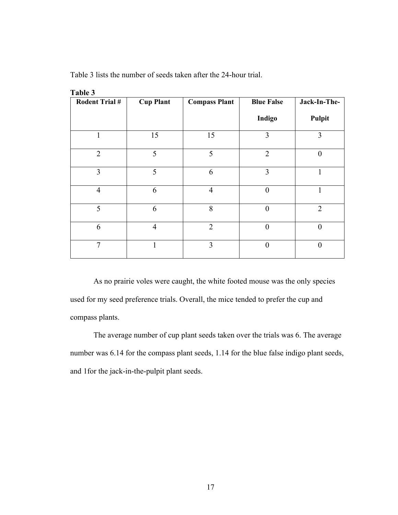| Table 3               |                  |                      |                   |                |
|-----------------------|------------------|----------------------|-------------------|----------------|
| <b>Rodent Trial #</b> | <b>Cup Plant</b> | <b>Compass Plant</b> | <b>Blue False</b> | Jack-In-The-   |
|                       |                  |                      | Indigo            | Pulpit         |
| $\mathbf{1}$          | 15               | 15                   | $\overline{3}$    | 3              |
| $\overline{2}$        | 5                | 5                    | $\overline{2}$    | $\overline{0}$ |
| $\overline{3}$        | 5                | 6                    | 3                 | 1              |
| $\overline{4}$        | 6                | $\overline{4}$       | $\overline{0}$    | 1              |
| 5                     | 6                | 8                    | $\theta$          | $\overline{2}$ |
| 6                     | $\overline{4}$   | $\overline{2}$       | $\overline{0}$    | $\theta$       |
| $\overline{7}$        | 1                | $\overline{3}$       | $\theta$          | $\theta$       |

Table 3 lists the number of seeds taken after the 24-hour trial.

As no prairie voles were caught, the white footed mouse was the only species used for my seed preference trials. Overall, the mice tended to prefer the cup and compass plants.

The average number of cup plant seeds taken over the trials was 6. The average number was 6.14 for the compass plant seeds, 1.14 for the blue false indigo plant seeds, and 1for the jack-in-the-pulpit plant seeds.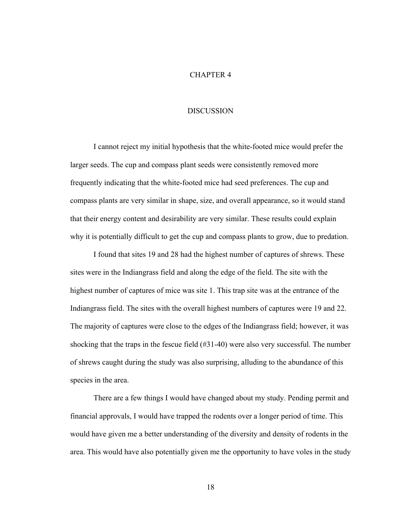## CHAPTER 4

#### DISCUSSION

I cannot reject my initial hypothesis that the white-footed mice would prefer the larger seeds. The cup and compass plant seeds were consistently removed more frequently indicating that the white-footed mice had seed preferences. The cup and compass plants are very similar in shape, size, and overall appearance, so it would stand that their energy content and desirability are very similar. These results could explain why it is potentially difficult to get the cup and compass plants to grow, due to predation.

I found that sites 19 and 28 had the highest number of captures of shrews. These sites were in the Indiangrass field and along the edge of the field. The site with the highest number of captures of mice was site 1. This trap site was at the entrance of the Indiangrass field. The sites with the overall highest numbers of captures were 19 and 22. The majority of captures were close to the edges of the Indiangrass field; however, it was shocking that the traps in the fescue field (#31-40) were also very successful. The number of shrews caught during the study was also surprising, alluding to the abundance of this species in the area.

There are a few things I would have changed about my study. Pending permit and financial approvals, I would have trapped the rodents over a longer period of time. This would have given me a better understanding of the diversity and density of rodents in the area. This would have also potentially given me the opportunity to have voles in the study

18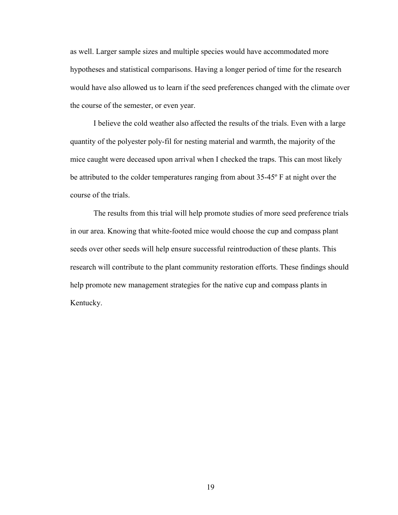as well. Larger sample sizes and multiple species would have accommodated more hypotheses and statistical comparisons. Having a longer period of time for the research would have also allowed us to learn if the seed preferences changed with the climate over the course of the semester, or even year.

I believe the cold weather also affected the results of the trials. Even with a large quantity of the polyester poly-fil for nesting material and warmth, the majority of the mice caught were deceased upon arrival when I checked the traps. This can most likely be attributed to the colder temperatures ranging from about 35-45º F at night over the course of the trials.

The results from this trial will help promote studies of more seed preference trials in our area. Knowing that white-footed mice would choose the cup and compass plant seeds over other seeds will help ensure successful reintroduction of these plants. This research will contribute to the plant community restoration efforts. These findings should help promote new management strategies for the native cup and compass plants in Kentucky.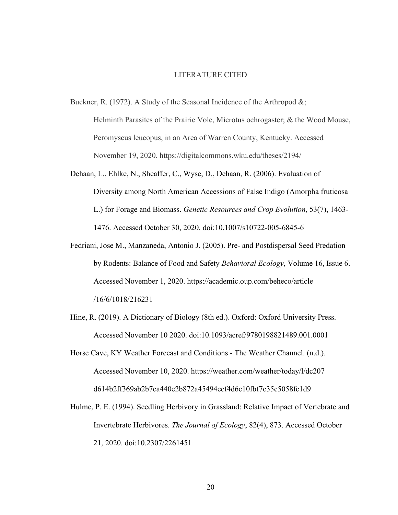#### LITERATURE CITED

Buckner, R. (1972). A Study of the Seasonal Incidence of the Arthropod &;

Helminth Parasites of the Prairie Vole, Microtus ochrogaster; & the Wood Mouse, Peromyscus leucopus, in an Area of Warren County, Kentucky. Accessed November 19, 2020. https://digitalcommons.wku.edu/theses/2194/

- Dehaan, L., Ehlke, N., Sheaffer, C., Wyse, D., Dehaan, R. (2006). Evaluation of Diversity among North American Accessions of False Indigo (Amorpha fruticosa L.) for Forage and Biomass. *Genetic Resources and Crop Evolution*, 53(7), 1463- 1476. Accessed October 30, 2020. doi:10.1007/s10722-005-6845-6
- Fedriani, Jose M., Manzaneda, Antonio J. (2005). Pre- and Postdispersal Seed Predation by Rodents: Balance of Food and Safety *Behavioral Ecology*, Volume 16, Issue 6. Accessed November 1, 2020. https://academic.oup.com/beheco/article /16/6/1018/216231
- Hine, R. (2019). A Dictionary of Biology (8th ed.). Oxford: Oxford University Press. Accessed November 10 2020. doi:10.1093/acref/9780198821489.001.0001
- Horse Cave, KY Weather Forecast and Conditions The Weather Channel. (n.d.). Accessed November 10, 2020. https://weather.com/weather/today/l/dc207 d614b2ff369ab2b7ca440e2b872a45494eef4d6c10fbf7c35c5058fc1d9
- Hulme, P. E. (1994). Seedling Herbivory in Grassland: Relative Impact of Vertebrate and Invertebrate Herbivores. *The Journal of Ecology*, 82(4), 873. Accessed October 21, 2020. doi:10.2307/2261451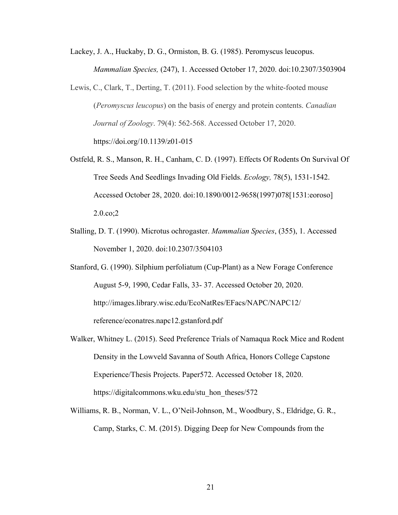Lackey, J. A., Huckaby, D. G., Ormiston, B. G. (1985). Peromyscus leucopus. *Mammalian Species,* (247), 1. Accessed October 17, 2020. doi:10.2307/3503904

- Lewis, C., Clark, T., Derting, T. (2011). Food selection by the white-footed mouse (*Peromyscus leucopus*) on the basis of energy and protein contents. *Canadian Journal of Zoology*. 79(4): 562-568. Accessed October 17, 2020. https://doi.org/10.1139/z01-015
- Ostfeld, R. S., Manson, R. H., Canham, C. D. (1997). Effects Of Rodents On Survival Of Tree Seeds And Seedlings Invading Old Fields. *Ecology,* 78(5), 1531-1542. Accessed October 28, 2020. doi:10.1890/0012-9658(1997)078[1531:eoroso] 2.0.co;2
- Stalling, D. T. (1990). Microtus ochrogaster. *Mammalian Species*, (355), 1. Accessed November 1, 2020. doi:10.2307/3504103
- Stanford, G. (1990). Silphium perfoliatum (Cup-Plant) as a New Forage Conference August 5-9, 1990, Cedar Falls, 33- 37. Accessed October 20, 2020. http://images.library.wisc.edu/EcoNatRes/EFacs/NAPC/NAPC12/ reference/econatres.napc12.gstanford.pdf
- Walker, Whitney L. (2015). Seed Preference Trials of Namaqua Rock Mice and Rodent Density in the Lowveld Savanna of South Africa, Honors College Capstone Experience/Thesis Projects. Paper572. Accessed October 18, 2020. https://digitalcommons.wku.edu/stu\_hon\_theses/572
- Williams, R. B., Norman, V. L., O'Neil-Johnson, M., Woodbury, S., Eldridge, G. R., Camp, Starks, C. M. (2015). Digging Deep for New Compounds from the